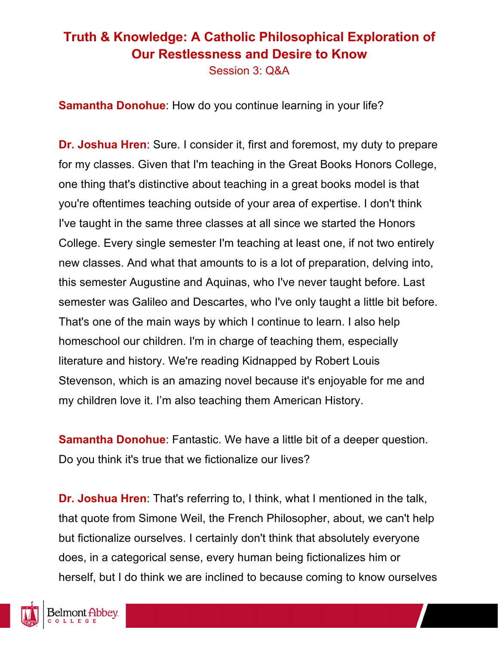Session 3: Q&A

**Samantha Donohue**: How do you continue learning in your life?

**Dr. Joshua Hren**: Sure. I consider it, first and foremost, my duty to prepare for my classes. Given that I'm teaching in the Great Books Honors College, one thing that's distinctive about teaching in a great books model is that you're oftentimes teaching outside of your area of expertise. I don't think I've taught in the same three classes at all since we started the Honors College. Every single semester I'm teaching at least one, if not two entirely new classes. And what that amounts to is a lot of preparation, delving into, this semester Augustine and Aquinas, who I've never taught before. Last semester was Galileo and Descartes, who I've only taught a little bit before. That's one of the main ways by which I continue to learn. I also help homeschool our children. I'm in charge of teaching them, especially literature and history. We're reading Kidnapped by Robert Louis Stevenson, which is an amazing novel because it's enjoyable for me and my children love it. I'm also teaching them American History.

**Samantha Donohue**: Fantastic. We have a little bit of a deeper question. Do you think it's true that we fictionalize our lives?

**Dr. Joshua Hren**: That's referring to, I think, what I mentioned in the talk, that quote from Simone Weil, the French Philosopher, about, we can't help but fictionalize ourselves. I certainly don't think that absolutely everyone does, in a categorical sense, every human being fictionalizes him or herself, but I do think we are inclined to because coming to know ourselves

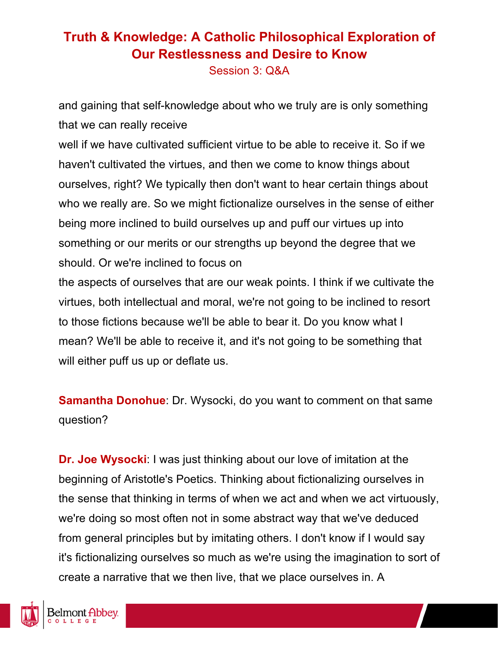Session 3: Q&A

and gaining that self-knowledge about who we truly are is only something that we can really receive

well if we have cultivated sufficient virtue to be able to receive it. So if we haven't cultivated the virtues, and then we come to know things about ourselves, right? We typically then don't want to hear certain things about who we really are. So we might fictionalize ourselves in the sense of either being more inclined to build ourselves up and puff our virtues up into something or our merits or our strengths up beyond the degree that we should. Or we're inclined to focus on

the aspects of ourselves that are our weak points. I think if we cultivate the virtues, both intellectual and moral, we're not going to be inclined to resort to those fictions because we'll be able to bear it. Do you know what I mean? We'll be able to receive it, and it's not going to be something that will either puff us up or deflate us.

**Samantha Donohue**: Dr. Wysocki, do you want to comment on that same question?

**Dr. Joe Wysocki**: I was just thinking about our love of imitation at the beginning of Aristotle's Poetics. Thinking about fictionalizing ourselves in the sense that thinking in terms of when we act and when we act virtuously, we're doing so most often not in some abstract way that we've deduced from general principles but by imitating others. I don't know if I would say it's fictionalizing ourselves so much as we're using the imagination to sort of create a narrative that we then live, that we place ourselves in. A

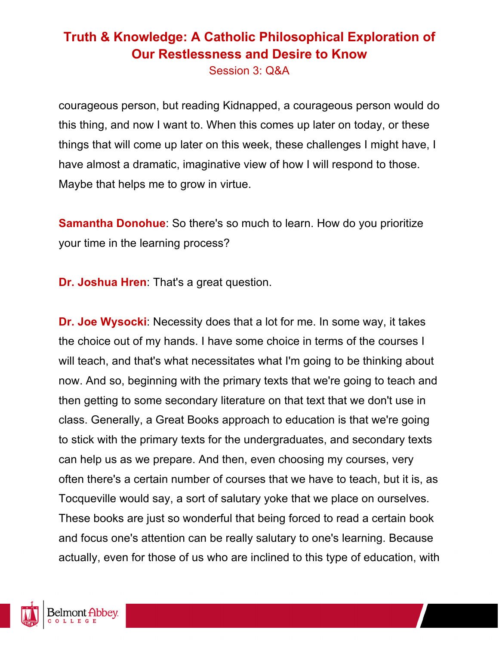Session 3: Q&A

courageous person, but reading Kidnapped, a courageous person would do this thing, and now I want to. When this comes up later on today, or these things that will come up later on this week, these challenges I might have, I have almost a dramatic, imaginative view of how I will respond to those. Maybe that helps me to grow in virtue.

**Samantha Donohue**: So there's so much to learn. How do you prioritize your time in the learning process?

**Dr. Joshua Hren**: That's a great question.

**Dr. Joe Wysocki**: Necessity does that a lot for me. In some way, it takes the choice out of my hands. I have some choice in terms of the courses I will teach, and that's what necessitates what I'm going to be thinking about now. And so, beginning with the primary texts that we're going to teach and then getting to some secondary literature on that text that we don't use in class. Generally, a Great Books approach to education is that we're going to stick with the primary texts for the undergraduates, and secondary texts can help us as we prepare. And then, even choosing my courses, very often there's a certain number of courses that we have to teach, but it is, as Tocqueville would say, a sort of salutary yoke that we place on ourselves. These books are just so wonderful that being forced to read a certain book and focus one's attention can be really salutary to one's learning. Because actually, even for those of us who are inclined to this type of education, with

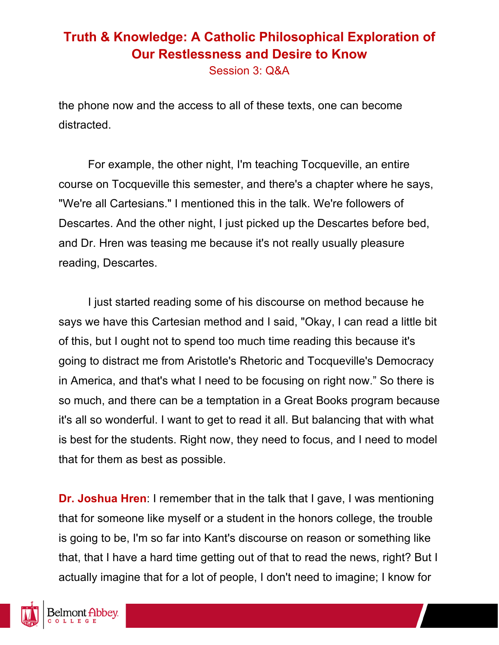Session 3: Q&A

the phone now and the access to all of these texts, one can become distracted.

For example, the other night, I'm teaching Tocqueville, an entire course on Tocqueville this semester, and there's a chapter where he says, "We're all Cartesians." I mentioned this in the talk. We're followers of Descartes. And the other night, I just picked up the Descartes before bed, and Dr. Hren was teasing me because it's not really usually pleasure reading, Descartes.

I just started reading some of his discourse on method because he says we have this Cartesian method and I said, "Okay, I can read a little bit of this, but I ought not to spend too much time reading this because it's going to distract me from Aristotle's Rhetoric and Tocqueville's Democracy in America, and that's what I need to be focusing on right now." So there is so much, and there can be a temptation in a Great Books program because it's all so wonderful. I want to get to read it all. But balancing that with what is best for the students. Right now, they need to focus, and I need to model that for them as best as possible.

**Dr. Joshua Hren**: I remember that in the talk that I gave, I was mentioning that for someone like myself or a student in the honors college, the trouble is going to be, I'm so far into Kant's discourse on reason or something like that, that I have a hard time getting out of that to read the news, right? But I actually imagine that for a lot of people, I don't need to imagine; I know for

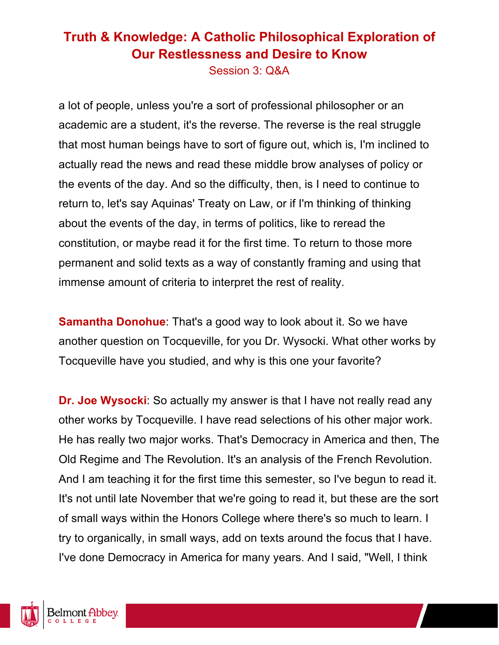Session 3: Q&A

a lot of people, unless you're a sort of professional philosopher or an academic are a student, it's the reverse. The reverse is the real struggle that most human beings have to sort of figure out, which is, I'm inclined to actually read the news and read these middle brow analyses of policy or the events of the day. And so the difficulty, then, is I need to continue to return to, let's say Aquinas' Treaty on Law, or if I'm thinking of thinking about the events of the day, in terms of politics, like to reread the constitution, or maybe read it for the first time. To return to those more permanent and solid texts as a way of constantly framing and using that immense amount of criteria to interpret the rest of reality.

**Samantha Donohue:** That's a good way to look about it. So we have another question on Tocqueville, for you Dr. Wysocki. What other works by Tocqueville have you studied, and why is this one your favorite?

**Dr. Joe Wysocki**: So actually my answer is that I have not really read any other works by Tocqueville. I have read selections of his other major work. He has really two major works. That's Democracy in America and then, The Old Regime and The Revolution. It's an analysis of the French Revolution. And I am teaching it for the first time this semester, so I've begun to read it. It's not until late November that we're going to read it, but these are the sort of small ways within the Honors College where there's so much to learn. I try to organically, in small ways, add on texts around the focus that I have. I've done Democracy in America for many years. And I said, "Well, I think

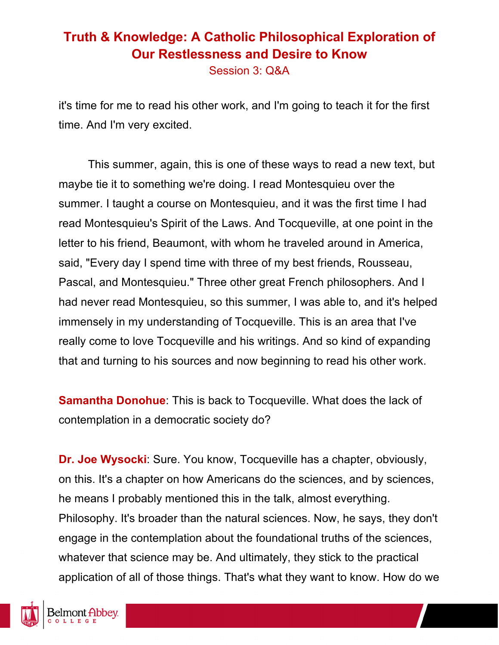Session 3: Q&A

it's time for me to read his other work, and I'm going to teach it for the first time. And I'm very excited.

This summer, again, this is one of these ways to read a new text, but maybe tie it to something we're doing. I read Montesquieu over the summer. I taught a course on Montesquieu, and it was the first time I had read Montesquieu's Spirit of the Laws. And Tocqueville, at one point in the letter to his friend, Beaumont, with whom he traveled around in America, said, "Every day I spend time with three of my best friends, Rousseau, Pascal, and Montesquieu." Three other great French philosophers. And I had never read Montesquieu, so this summer, I was able to, and it's helped immensely in my understanding of Tocqueville. This is an area that I've really come to love Tocqueville and his writings. And so kind of expanding that and turning to his sources and now beginning to read his other work.

**Samantha Donohue**: This is back to Tocqueville. What does the lack of contemplation in a democratic society do?

**Dr. Joe Wysocki**: Sure. You know, Tocqueville has a chapter, obviously, on this. It's a chapter on how Americans do the sciences, and by sciences, he means I probably mentioned this in the talk, almost everything. Philosophy. It's broader than the natural sciences. Now, he says, they don't engage in the contemplation about the foundational truths of the sciences, whatever that science may be. And ultimately, they stick to the practical application of all of those things. That's what they want to know. How do we

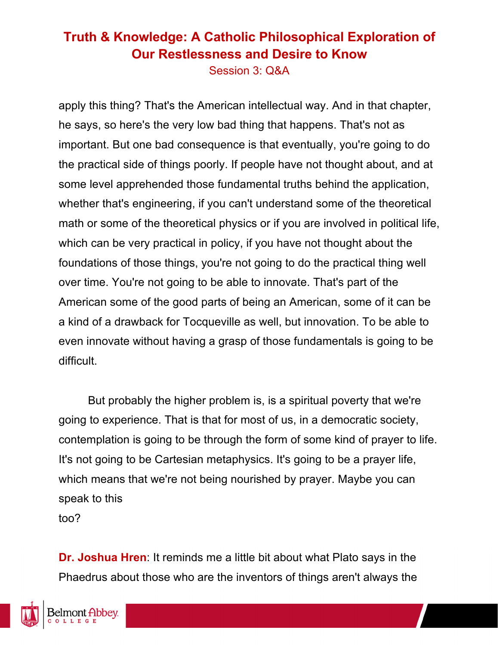Session 3: Q&A

apply this thing? That's the American intellectual way. And in that chapter, he says, so here's the very low bad thing that happens. That's not as important. But one bad consequence is that eventually, you're going to do the practical side of things poorly. If people have not thought about, and at some level apprehended those fundamental truths behind the application, whether that's engineering, if you can't understand some of the theoretical math or some of the theoretical physics or if you are involved in political life, which can be very practical in policy, if you have not thought about the foundations of those things, you're not going to do the practical thing well over time. You're not going to be able to innovate. That's part of the American some of the good parts of being an American, some of it can be a kind of a drawback for Tocqueville as well, but innovation. To be able to even innovate without having a grasp of those fundamentals is going to be difficult.

But probably the higher problem is, is a spiritual poverty that we're going to experience. That is that for most of us, in a democratic society, contemplation is going to be through the form of some kind of prayer to life. It's not going to be Cartesian metaphysics. It's going to be a prayer life, which means that we're not being nourished by prayer. Maybe you can speak to this too?

**Dr. Joshua Hren**: It reminds me a little bit about what Plato says in the Phaedrus about those who are the inventors of things aren't always the

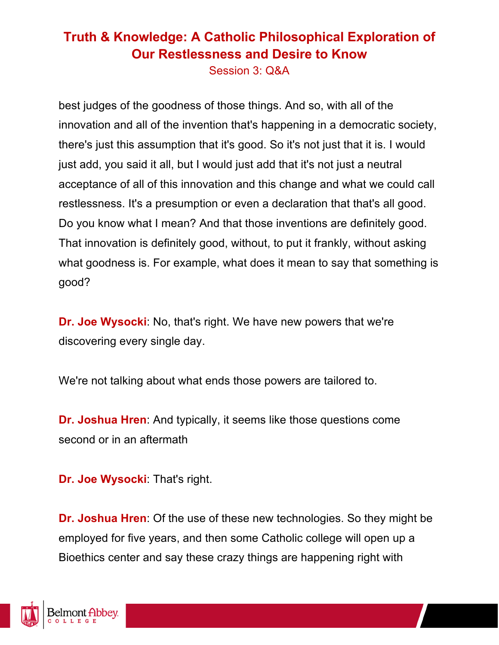Session 3: Q&A

best judges of the goodness of those things. And so, with all of the innovation and all of the invention that's happening in a democratic society, there's just this assumption that it's good. So it's not just that it is. I would just add, you said it all, but I would just add that it's not just a neutral acceptance of all of this innovation and this change and what we could call restlessness. It's a presumption or even a declaration that that's all good. Do you know what I mean? And that those inventions are definitely good. That innovation is definitely good, without, to put it frankly, without asking what goodness is. For example, what does it mean to say that something is good?

**Dr. Joe Wysocki**: No, that's right. We have new powers that we're discovering every single day.

We're not talking about what ends those powers are tailored to.

**Dr. Joshua Hren**: And typically, it seems like those questions come second or in an aftermath

**Dr. Joe Wysocki**: That's right.

**Dr. Joshua Hren**: Of the use of these new technologies. So they might be employed for five years, and then some Catholic college will open up a Bioethics center and say these crazy things are happening right with

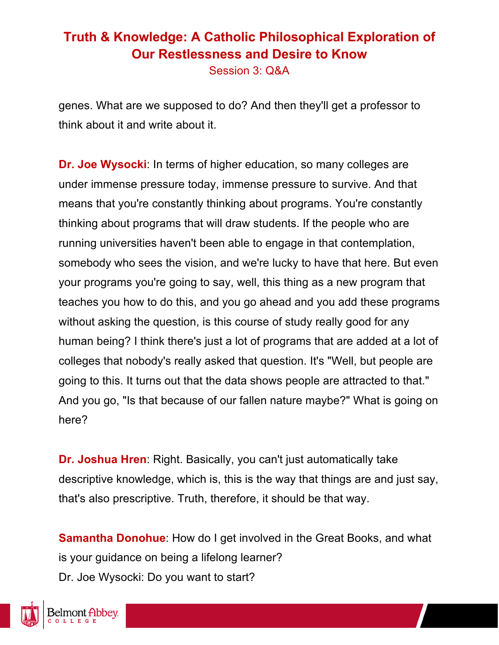Session 3: Q&A

genes. What are we supposed to do? And then they'll get a professor to think about it and write about it.

**Dr. Joe Wysocki**: In terms of higher education, so many colleges are under immense pressure today, immense pressure to survive. And that means that you're constantly thinking about programs. You're constantly thinking about programs that will draw students. If the people who are running universities haven't been able to engage in that contemplation, somebody who sees the vision, and we're lucky to have that here. But even your programs you're going to say, well, this thing as a new program that teaches you how to do this, and you go ahead and you add these programs without asking the question, is this course of study really good for any human being? I think there's just a lot of programs that are added at a lot of colleges that nobody's really asked that question. It's "Well, but people are going to this. It turns out that the data shows people are attracted to that." And you go, "Is that because of our fallen nature maybe?" What is going on here?

**Dr. Joshua Hren**: Right. Basically, you can't just automatically take descriptive knowledge, which is, this is the way that things are and just say, that's also prescriptive. Truth, therefore, it should be that way.

**Samantha Donohue**: How do I get involved in the Great Books, and what is your guidance on being a lifelong learner? Dr. Joe Wysocki: Do you want to start?

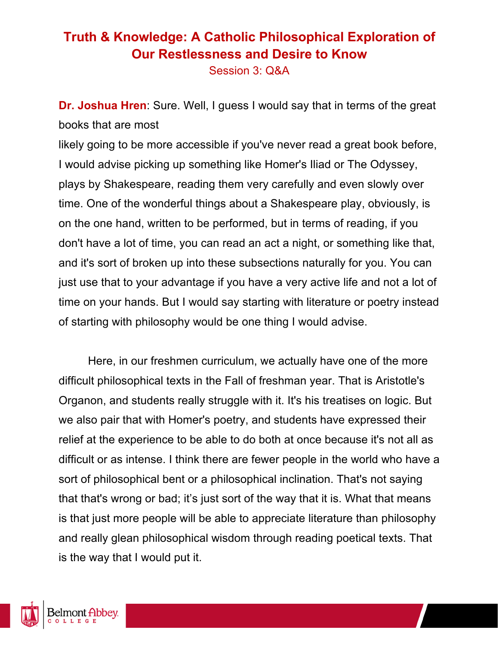Session 3: Q&A

**Dr. Joshua Hren**: Sure. Well, I guess I would say that in terms of the great books that are most

likely going to be more accessible if you've never read a great book before, I would advise picking up something like Homer's Iliad or The Odyssey, plays by Shakespeare, reading them very carefully and even slowly over time. One of the wonderful things about a Shakespeare play, obviously, is on the one hand, written to be performed, but in terms of reading, if you don't have a lot of time, you can read an act a night, or something like that, and it's sort of broken up into these subsections naturally for you. You can just use that to your advantage if you have a very active life and not a lot of time on your hands. But I would say starting with literature or poetry instead of starting with philosophy would be one thing I would advise.

Here, in our freshmen curriculum, we actually have one of the more difficult philosophical texts in the Fall of freshman year. That is Aristotle's Organon, and students really struggle with it. It's his treatises on logic. But we also pair that with Homer's poetry, and students have expressed their relief at the experience to be able to do both at once because it's not all as difficult or as intense. I think there are fewer people in the world who have a sort of philosophical bent or a philosophical inclination. That's not saying that that's wrong or bad; it's just sort of the way that it is. What that means is that just more people will be able to appreciate literature than philosophy and really glean philosophical wisdom through reading poetical texts. That is the way that I would put it.